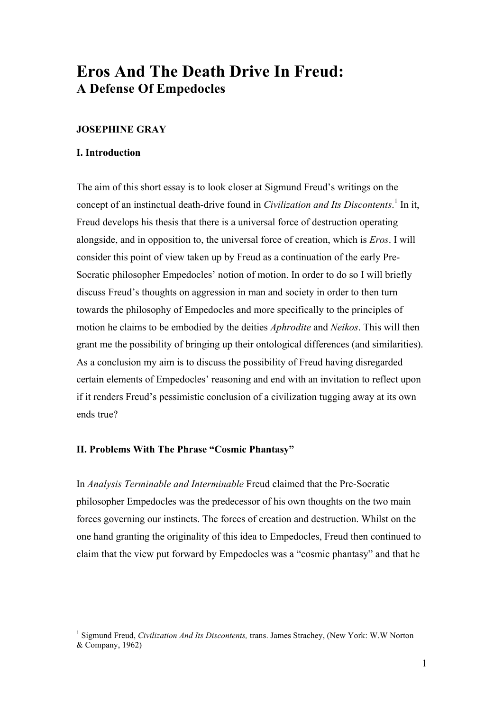# **Eros And The Death Drive In Freud: A Defense Of Empedocles**

# **JOSEPHINE GRAY**

## **I. Introduction**

The aim of this short essay is to look closer at Sigmund Freud's writings on the concept of an instinctual death-drive found in *Civilization and Its Discontents*. <sup>1</sup> In it, Freud develops his thesis that there is a universal force of destruction operating alongside, and in opposition to, the universal force of creation, which is *Eros*. I will consider this point of view taken up by Freud as a continuation of the early Pre-Socratic philosopher Empedocles' notion of motion. In order to do so I will briefly discuss Freud's thoughts on aggression in man and society in order to then turn towards the philosophy of Empedocles and more specifically to the principles of motion he claims to be embodied by the deities *Aphrodite* and *Neikos*. This will then grant me the possibility of bringing up their ontological differences (and similarities). As a conclusion my aim is to discuss the possibility of Freud having disregarded certain elements of Empedocles' reasoning and end with an invitation to reflect upon if it renders Freud's pessimistic conclusion of a civilization tugging away at its own ends true?

# **II. Problems With The Phrase "Cosmic Phantasy"**

In *Analysis Terminable and Interminable* Freud claimed that the Pre-Socratic philosopher Empedocles was the predecessor of his own thoughts on the two main forces governing our instincts. The forces of creation and destruction. Whilst on the one hand granting the originality of this idea to Empedocles, Freud then continued to claim that the view put forward by Empedocles was a "cosmic phantasy" and that he

 <sup>1</sup> Sigmund Freud, *Civilization And Its Discontents,* trans. James Strachey, (New York: W.W Norton & Company, 1962)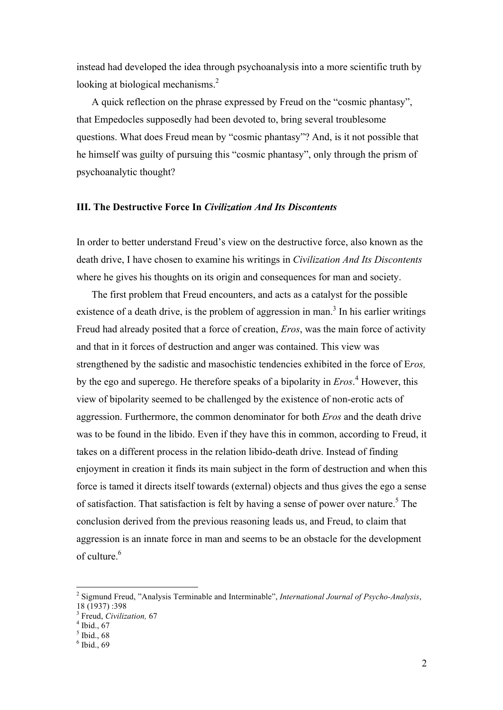instead had developed the idea through psychoanalysis into a more scientific truth by looking at biological mechanisms.<sup>2</sup>

A quick reflection on the phrase expressed by Freud on the "cosmic phantasy", that Empedocles supposedly had been devoted to, bring several troublesome questions. What does Freud mean by "cosmic phantasy"? And, is it not possible that he himself was guilty of pursuing this "cosmic phantasy", only through the prism of psychoanalytic thought?

## **III. The Destructive Force In** *Civilization And Its Discontents*

In order to better understand Freud's view on the destructive force, also known as the death drive, I have chosen to examine his writings in *Civilization And Its Discontents* where he gives his thoughts on its origin and consequences for man and society.

The first problem that Freud encounters, and acts as a catalyst for the possible existence of a death drive, is the problem of aggression in man.<sup>3</sup> In his earlier writings Freud had already posited that a force of creation, *Eros*, was the main force of activity and that in it forces of destruction and anger was contained. This view was strengthened by the sadistic and masochistic tendencies exhibited in the force of E*ros,*  by the ego and superego. He therefore speaks of a bipolarity in *Eros*. <sup>4</sup> However, this view of bipolarity seemed to be challenged by the existence of non-erotic acts of aggression. Furthermore, the common denominator for both *Eros* and the death drive was to be found in the libido. Even if they have this in common, according to Freud, it takes on a different process in the relation libido-death drive. Instead of finding enjoyment in creation it finds its main subject in the form of destruction and when this force is tamed it directs itself towards (external) objects and thus gives the ego a sense of satisfaction. That satisfaction is felt by having a sense of power over nature.<sup>5</sup> The conclusion derived from the previous reasoning leads us, and Freud, to claim that aggression is an innate force in man and seems to be an obstacle for the development of culture.<sup>6</sup>

 <sup>2</sup> Sigmund Freud, "Analysis Terminable and Interminable", *International Journal of Psycho-Analysis*, 18 (1937) :398

<sup>&</sup>lt;sup>3</sup> Freud, *Civilization*, 67<sup>4</sup> Ibid., 67

 $5$  Ibid., 68

 $6$  Ibid., 69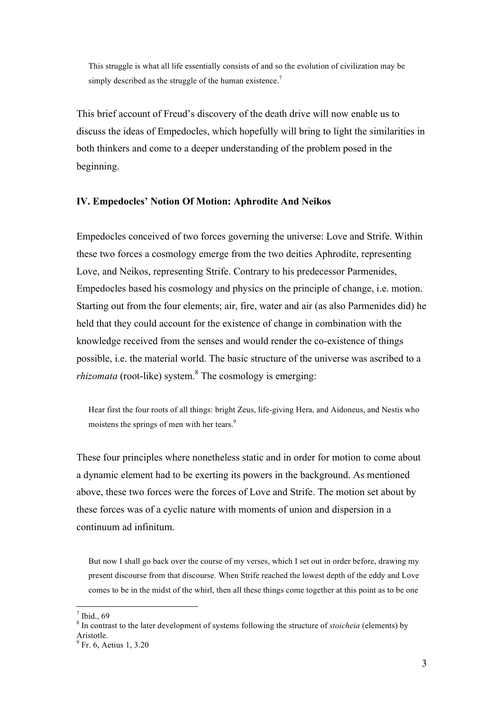This struggle is what all life essentially consists of and so the evolution of civilization may be simply described as the struggle of the human existence.<sup>7</sup>

This brief account of Freud's discovery of the death drive will now enable us to discuss the ideas of Empedocles, which hopefully will bring to light the similarities in both thinkers and come to a deeper understanding of the problem posed in the beginning.

#### **IV. Empedocles' Notion Of Motion: Aphrodite And Neikos**

Empedocles conceived of two forces governing the universe: Love and Strife. Within these two forces a cosmology emerge from the two deities Aphrodite, representing Love, and Neikos, representing Strife. Contrary to his predecessor Parmenides, Empedocles based his cosmology and physics on the principle of change, i.e. motion. Starting out from the four elements; air, fire, water and air (as also Parmenides did) he held that they could account for the existence of change in combination with the knowledge received from the senses and would render the co-existence of things possible, i.e. the material world. The basic structure of the universe was ascribed to a *rhizomata* (root-like) system.<sup>8</sup> The cosmology is emerging:

Hear first the four roots of all things: bright Zeus, life-giving Hera, and Aidoneus, and Nestis who moistens the springs of men with her tears.<sup>9</sup>

These four principles where nonetheless static and in order for motion to come about a dynamic element had to be exerting its powers in the background. As mentioned above, these two forces were the forces of Love and Strife. The motion set about by these forces was of a cyclic nature with moments of union and dispersion in a continuum ad infinitum.

But now I shall go back over the course of my verses, which I set out in order before, drawing my present discourse from that discourse. When Strife reached the lowest depth of the eddy and Love comes to be in the midst of the whirl, then all these things come together at this point as to be one

 $<sup>7</sup>$  Ibid., 69</sup>

<sup>8</sup> In contrast to the later development of systems following the structure of *stoicheia* (elements) by Aristotle.<br> ${}^{9}$  Fr. 6, Aetius 1, 3.20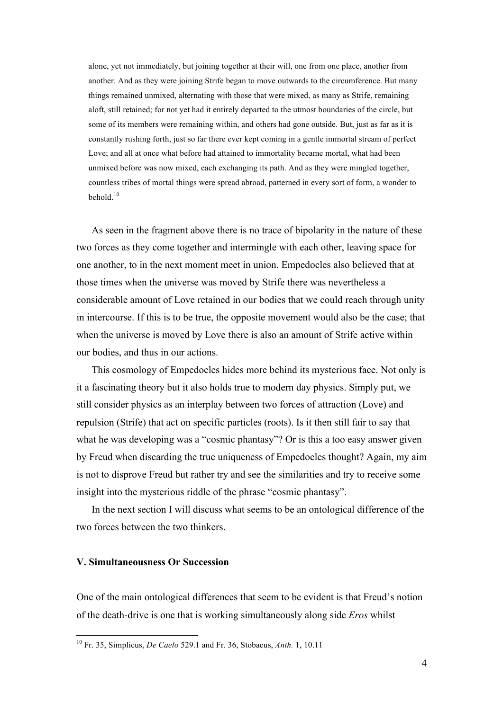alone, yet not immediately, but joining together at their will, one from one place, another from another. And as they were joining Strife began to move outwards to the circumference. But many things remained unmixed, alternating with those that were mixed, as many as Strife, remaining aloft, still retained; for not yet had it entirely departed to the utmost boundaries of the circle, but some of its members were remaining within, and others had gone outside. But, just as far as it is constantly rushing forth, just so far there ever kept coming in a gentle immortal stream of perfect Love; and all at once what before had attained to immortality became mortal, what had been unmixed before was now mixed, each exchanging its path. And as they were mingled together, countless tribes of mortal things were spread abroad, patterned in every sort of form, a wonder to behold $10$ 

As seen in the fragment above there is no trace of bipolarity in the nature of these two forces as they come together and intermingle with each other, leaving space for one another, to in the next moment meet in union. Empedocles also believed that at those times when the universe was moved by Strife there was nevertheless a considerable amount of Love retained in our bodies that we could reach through unity in intercourse. If this is to be true, the opposite movement would also be the case; that when the universe is moved by Love there is also an amount of Strife active within our bodies, and thus in our actions.

This cosmology of Empedocles hides more behind its mysterious face. Not only is it a fascinating theory but it also holds true to modern day physics. Simply put, we still consider physics as an interplay between two forces of attraction (Love) and repulsion (Strife) that act on specific particles (roots). Is it then still fair to say that what he was developing was a "cosmic phantasy"? Or is this a too easy answer given by Freud when discarding the true uniqueness of Empedocles thought? Again, my aim is not to disprove Freud but rather try and see the similarities and try to receive some insight into the mysterious riddle of the phrase "cosmic phantasy".

In the next section I will discuss what seems to be an ontological difference of the two forces between the two thinkers.

## **V. Simultaneousness Or Succession**

One of the main ontological differences that seem to be evident is that Freud's notion of the death-drive is one that is working simultaneously along side *Eros* whilst

 <sup>10</sup> Fr. 35, Simplicus, *De Caelo* 529.1 and Fr. 36, Stobaeus, *Anth.* 1, 10.11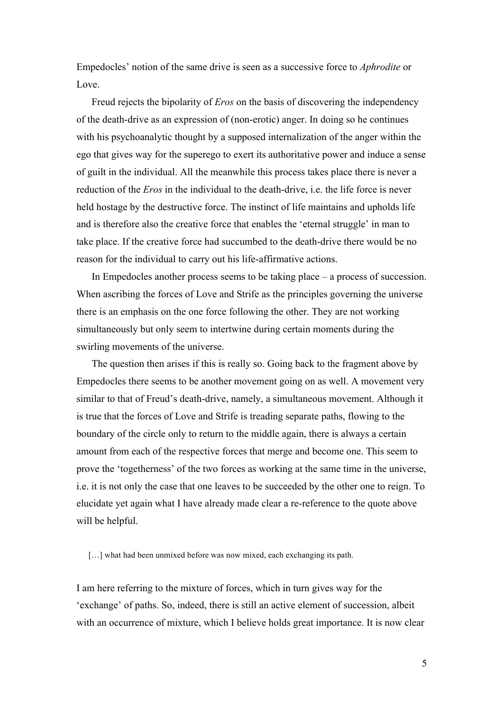Empedocles' notion of the same drive is seen as a successive force to *Aphrodite* or Love.

Freud rejects the bipolarity of *Eros* on the basis of discovering the independency of the death-drive as an expression of (non-erotic) anger. In doing so he continues with his psychoanalytic thought by a supposed internalization of the anger within the ego that gives way for the superego to exert its authoritative power and induce a sense of guilt in the individual. All the meanwhile this process takes place there is never a reduction of the *Eros* in the individual to the death-drive, i.e. the life force is never held hostage by the destructive force. The instinct of life maintains and upholds life and is therefore also the creative force that enables the 'eternal struggle' in man to take place. If the creative force had succumbed to the death-drive there would be no reason for the individual to carry out his life-affirmative actions.

In Empedocles another process seems to be taking place – a process of succession. When ascribing the forces of Love and Strife as the principles governing the universe there is an emphasis on the one force following the other. They are not working simultaneously but only seem to intertwine during certain moments during the swirling movements of the universe.

The question then arises if this is really so. Going back to the fragment above by Empedocles there seems to be another movement going on as well. A movement very similar to that of Freud's death-drive, namely, a simultaneous movement. Although it is true that the forces of Love and Strife is treading separate paths, flowing to the boundary of the circle only to return to the middle again, there is always a certain amount from each of the respective forces that merge and become one. This seem to prove the 'togetherness' of the two forces as working at the same time in the universe, i.e. it is not only the case that one leaves to be succeeded by the other one to reign. To elucidate yet again what I have already made clear a re-reference to the quote above will be helpful.

[...] what had been unmixed before was now mixed, each exchanging its path.

I am here referring to the mixture of forces, which in turn gives way for the 'exchange' of paths. So, indeed, there is still an active element of succession, albeit with an occurrence of mixture, which I believe holds great importance. It is now clear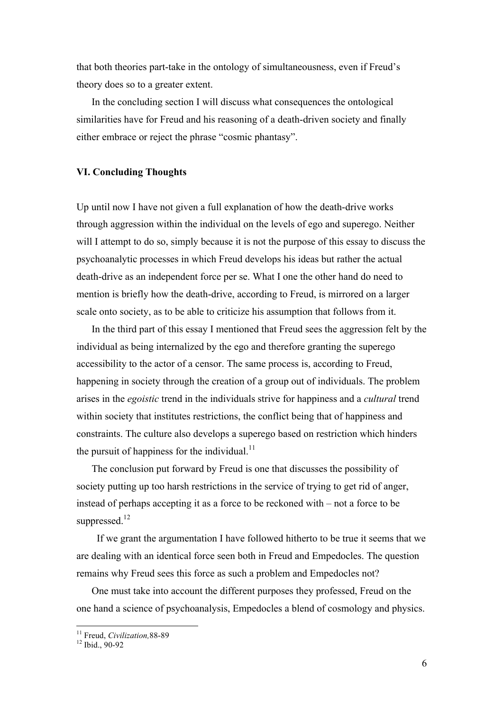that both theories part-take in the ontology of simultaneousness, even if Freud's theory does so to a greater extent.

In the concluding section I will discuss what consequences the ontological similarities have for Freud and his reasoning of a death-driven society and finally either embrace or reject the phrase "cosmic phantasy".

## **VI. Concluding Thoughts**

Up until now I have not given a full explanation of how the death-drive works through aggression within the individual on the levels of ego and superego. Neither will I attempt to do so, simply because it is not the purpose of this essay to discuss the psychoanalytic processes in which Freud develops his ideas but rather the actual death-drive as an independent force per se. What I one the other hand do need to mention is briefly how the death-drive, according to Freud, is mirrored on a larger scale onto society, as to be able to criticize his assumption that follows from it.

In the third part of this essay I mentioned that Freud sees the aggression felt by the individual as being internalized by the ego and therefore granting the superego accessibility to the actor of a censor. The same process is, according to Freud, happening in society through the creation of a group out of individuals. The problem arises in the *egoistic* trend in the individuals strive for happiness and a *cultural* trend within society that institutes restrictions, the conflict being that of happiness and constraints. The culture also develops a superego based on restriction which hinders the pursuit of happiness for the individual. $^{11}$ 

The conclusion put forward by Freud is one that discusses the possibility of society putting up too harsh restrictions in the service of trying to get rid of anger, instead of perhaps accepting it as a force to be reckoned with – not a force to be suppressed.<sup>12</sup>

 If we grant the argumentation I have followed hitherto to be true it seems that we are dealing with an identical force seen both in Freud and Empedocles. The question remains why Freud sees this force as such a problem and Empedocles not?

One must take into account the different purposes they professed, Freud on the one hand a science of psychoanalysis, Empedocles a blend of cosmology and physics.

<sup>&</sup>lt;sup>11</sup> Freud, *Civilization*, 88-89<br><sup>12</sup> Ibid., 90-92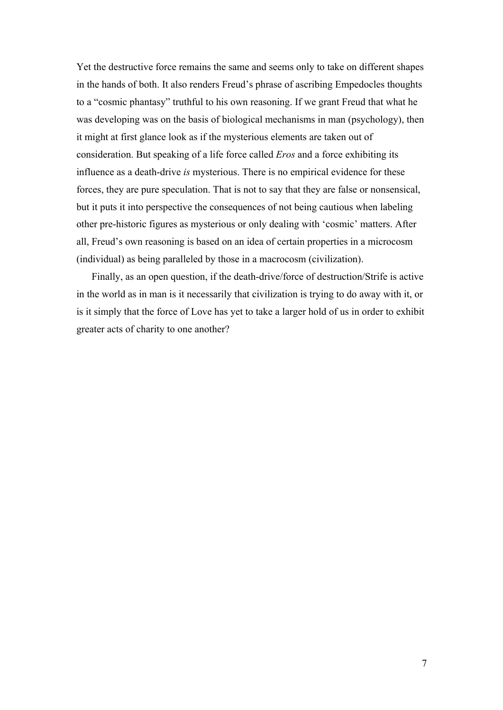Yet the destructive force remains the same and seems only to take on different shapes in the hands of both. It also renders Freud's phrase of ascribing Empedocles thoughts to a "cosmic phantasy" truthful to his own reasoning. If we grant Freud that what he was developing was on the basis of biological mechanisms in man (psychology), then it might at first glance look as if the mysterious elements are taken out of consideration. But speaking of a life force called *Eros* and a force exhibiting its influence as a death-drive *is* mysterious. There is no empirical evidence for these forces, they are pure speculation. That is not to say that they are false or nonsensical, but it puts it into perspective the consequences of not being cautious when labeling other pre-historic figures as mysterious or only dealing with 'cosmic' matters. After all, Freud's own reasoning is based on an idea of certain properties in a microcosm (individual) as being paralleled by those in a macrocosm (civilization).

Finally, as an open question, if the death-drive/force of destruction/Strife is active in the world as in man is it necessarily that civilization is trying to do away with it, or is it simply that the force of Love has yet to take a larger hold of us in order to exhibit greater acts of charity to one another?